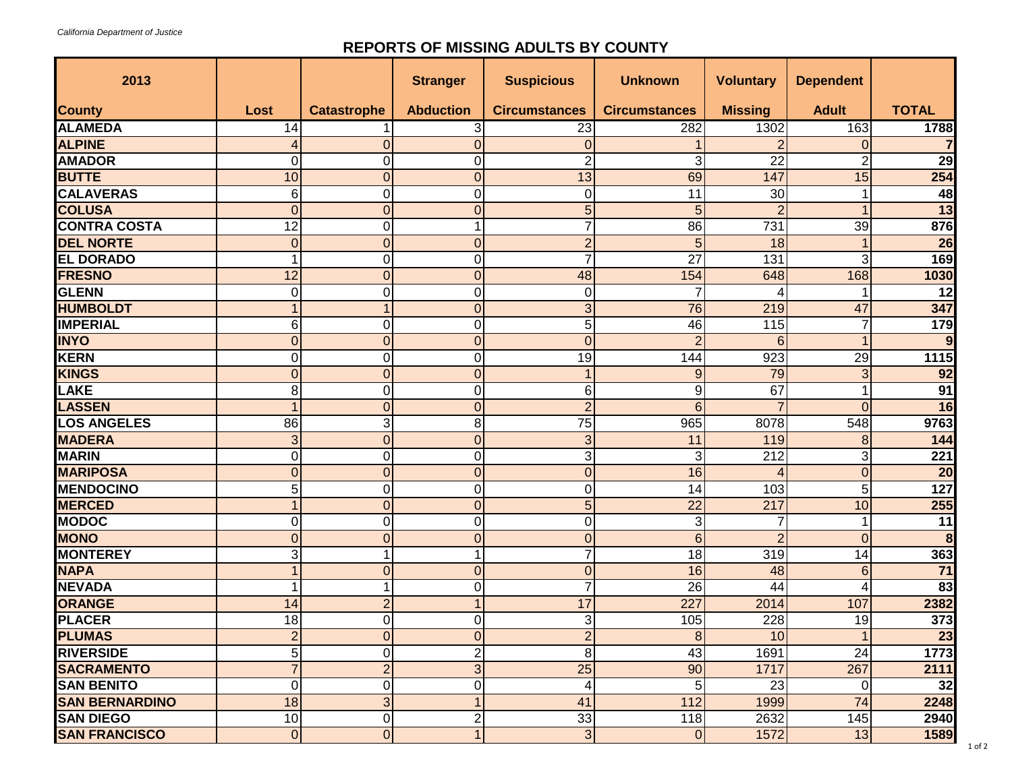## **REPORTS OF MISSING ADULTS BY COUNTY**

| 2013                  |                |                    | <b>Stranger</b>  | <b>Suspicious</b>    | <b>Unknown</b>       | <b>Voluntary</b> | <b>Dependent</b> |                  |
|-----------------------|----------------|--------------------|------------------|----------------------|----------------------|------------------|------------------|------------------|
| <b>County</b>         | Lost           | <b>Catastrophe</b> | <b>Abduction</b> | <b>Circumstances</b> | <b>Circumstances</b> | <b>Missing</b>   | <b>Adult</b>     | <b>TOTAL</b>     |
| <b>ALAMEDA</b>        | 14             |                    | 3                | 23                   | 282                  | 1302             | 163              | 1788             |
| <b>ALPINE</b>         |                | 0                  | $\overline{0}$   | $\mathbf 0$          |                      | $\overline{2}$   | $\overline{0}$   |                  |
| <b>AMADOR</b>         | 0              | 0                  | 0                | $\overline{2}$       | 3                    | 22               | $\overline{2}$   | $\overline{29}$  |
| <b>BUTTE</b>          | 10             | $\mathbf 0$        | $\overline{0}$   | 13                   | 69                   | 147              | 15               | 254              |
| <b>CALAVERAS</b>      | 6              | 0                  | 0                | 0                    | 11                   | 30               | 1                | 48               |
| <b>COLUSA</b>         | $\Omega$       | $\overline{0}$     | $\overline{0}$   | $\overline{5}$       | 5                    | $\overline{2}$   | 1                | $\overline{13}$  |
| <b>CONTRA COSTA</b>   | 12             | $\mathbf 0$        |                  | $\overline{7}$       | 86                   | 731              | 39               | 876              |
| <b>DEL NORTE</b>      | $\Omega$       | $\overline{0}$     | $\overline{0}$   | $\overline{2}$       | 5                    | 18               |                  | $\overline{26}$  |
| <b>EL DORADO</b>      |                | $\mathbf 0$        | 0                | $\overline{7}$       | 27                   | 131              | 3                | 169              |
| <b>FRESNO</b>         | 12             | $\mathbf 0$        | 0                | 48                   | 154                  | 648              | 168              | 1030             |
| <b>GLENN</b>          | $\Omega$       | 0                  | 0                | 0                    | 7                    | 4                |                  | 12               |
| <b>HUMBOLDT</b>       |                | 1                  | $\overline{0}$   | 3                    | 76                   | 219              | 47               | 347              |
| <b>IMPERIAL</b>       | 6              | 0                  | 0                | $\overline{5}$       | 46                   | 115              | 7                | 179              |
| <b>INYO</b>           | $\Omega$       | $\overline{0}$     | $\overline{0}$   | $\overline{0}$       | $\overline{2}$       | 6                | 1                | 9                |
| <b>KERN</b>           | $\Omega$       | $\mathbf 0$        | 0                | $\overline{19}$      | 144                  | 923              | $\overline{29}$  | 1115             |
| <b>KINGS</b>          | $\Omega$       | $\overline{0}$     | $\overline{0}$   | $\mathbf{1}$         | $9\,$                | 79               | $\overline{3}$   | 92               |
| <b>LAKE</b>           | 8              | 0                  | 0                | 6                    | 9                    | 67               | 1                | 91               |
| <b>LASSEN</b>         |                | $\mathbf 0$        | $\overline{0}$   | $\overline{2}$       | 6                    | 7                | $\Omega$         | 16               |
| <b>LOS ANGELES</b>    | 86             | 3                  | 8                | 75                   | 965                  | 8078             | 548              | 9763             |
| <b>MADERA</b>         | 3              | $\mathbf 0$        | $\overline{0}$   | 3                    | 11                   | 119              | 8                | 144              |
| <b>MARIN</b>          | 0              | $\mathbf 0$        | 0                | 3                    | 3                    | 212              | 3                | 221              |
| <b>MARIPOSA</b>       | $\Omega$       | $\mathbf 0$        | $\overline{0}$   | $\mathbf 0$          | 16                   | 4                | $\overline{0}$   | $\overline{20}$  |
| <b>MENDOCINO</b>      | 5              | 0                  | 0                | $\overline{0}$       | 14                   | 103              | 5                | $\overline{127}$ |
| <b>MERCED</b>         |                | $\mathbf 0$        | $\overline{0}$   | 5                    | $\overline{22}$      | 217              | 10               | 255              |
| <b>MODOC</b>          | 0              | 0                  | 0                | $\overline{0}$       | 3                    | 7                |                  | 11               |
| <b>MONO</b>           | $\Omega$       | 0                  | $\overline{0}$   | $\boldsymbol{0}$     | $6\phantom{1}$       | $\overline{2}$   | $\overline{0}$   | 8                |
| <b>MONTEREY</b>       | 3              | 1                  | 1                | $\overline{7}$       | 18                   | 319              | 14               | 363              |
| <b>NAPA</b>           |                | 0                  | $\overline{0}$   | $\boldsymbol{0}$     | 16                   | 48               | 6                | 71               |
| <b>NEVADA</b>         |                | 1                  | 0                | $\overline{7}$       | $\overline{26}$      | $\overline{44}$  | 4                | 83               |
| <b>ORANGE</b>         | 14             | $\overline{2}$     | 1                | 17                   | 227                  | 2014             | 107              | 2382             |
| <b>PLACER</b>         | 18             | $\pmb{0}$          | 0                | $\overline{3}$       | 105                  | 228              | 19               | 373              |
| <b>PLUMAS</b>         | $\angle$       | $\overline{0}$     | $\overline{0}$   | $\overline{c}$       | 8 <sub>l</sub>       | 10               |                  | 23               |
| <b>RIVERSIDE</b>      | 5              | $\mathbf 0$        | 2                | 8                    | 43                   | 1691             | 24               | 1773             |
| <b>SACRAMENTO</b>     | 7              | $\overline{c}$     | 3                | $\overline{25}$      | 90                   | 1717             | 267              | 2111             |
| <b>SAN BENITO</b>     | $\Omega$       | 0                  | 0                | 4                    | 5                    | 23               | $\overline{0}$   | 32               |
| <b>SAN BERNARDINO</b> | 18             | $\mathbf{3}$       | 1                | 41                   | 112                  | 1999             | 74               | 2248             |
| <b>SAN DIEGO</b>      | 10             | $\pmb{0}$          | 2                | 33                   | 118                  | 2632             | 145              | 2940             |
| <b>SAN FRANCISCO</b>  | $\overline{0}$ | $\overline{0}$     | 1                | $\overline{3}$       | $\overline{O}$       | 1572             | 13               | 1589             |